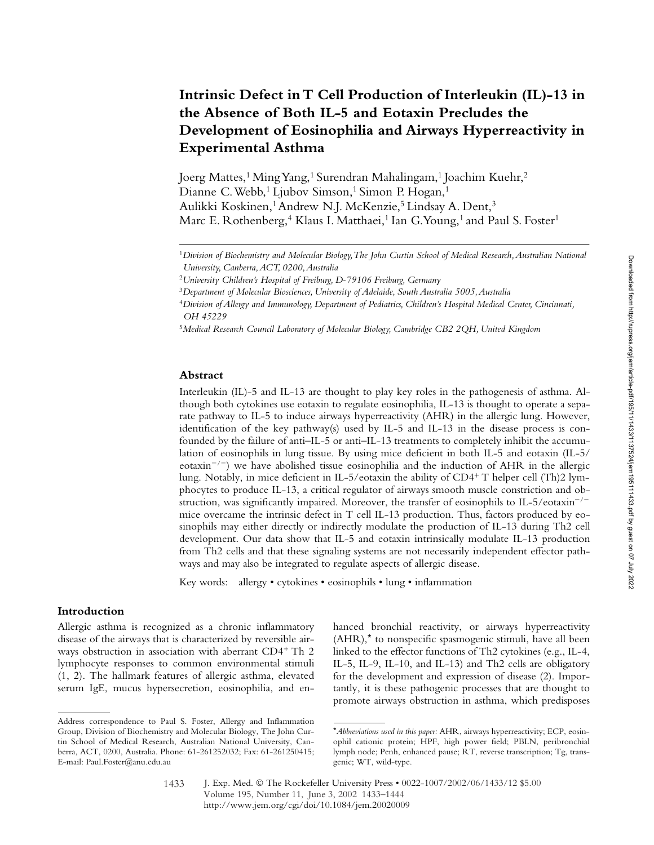# **Intrinsic Defect in T Cell Production of Interleukin (IL)-13 in the Absence of Both IL-5 and Eotaxin Precludes the Development of Eosinophilia and Airways Hyperreactivity in Experimental Asthma**

Joerg Mattes,<sup>1</sup> Ming Yang,<sup>1</sup> Surendran Mahalingam,<sup>1</sup> Joachim Kuehr,<sup>2</sup> Dianne C. Webb,<sup>1</sup> Ljubov Simson,<sup>1</sup> Simon P. Hogan,<sup>1</sup> Aulikki Koskinen,<sup>1</sup> Andrew N.J. McKenzie,<sup>5</sup> Lindsay A. Dent,<sup>3</sup> Marc E. Rothenberg,<sup>4</sup> Klaus I. Matthaei,<sup>1</sup> Ian G. Young,<sup>1</sup> and Paul S. Foster<sup>1</sup>

<sup>3</sup>*Department of Molecular Biosciences, University of Adelaide, South Australia 5005, Australia*

<sup>4</sup>*Division of Allergy and Immunology, Department of Pediatrics, Children's Hospital Medical Center, Cincinnati, OH 45229*

<sup>5</sup>*Medical Research Council Laboratory of Molecular Biology, Cambridge CB2 2QH, United Kingdom*

## **Abstract**

Interleukin (IL)-5 and IL-13 are thought to play key roles in the pathogenesis of asthma. Although both cytokines use eotaxin to regulate eosinophilia, IL-13 is thought to operate a separate pathway to IL-5 to induce airways hyperreactivity (AHR) in the allergic lung. However, identification of the key pathway(s) used by IL-5 and IL-13 in the disease process is confounded by the failure of anti–IL-5 or anti–IL-13 treatments to completely inhibit the accumulation of eosinophils in lung tissue. By using mice deficient in both IL-5 and eotaxin (IL-5/ eotaxin<sup>-/-</sup>) we have abolished tissue eosinophilia and the induction of AHR in the allergic lung. Notably, in mice deficient in IL-5/eotaxin the ability of  $CD4^+$  T helper cell (Th)2 lymphocytes to produce IL-13, a critical regulator of airways smooth muscle constriction and obstruction, was significantly impaired. Moreover, the transfer of eosinophils to IL-5/eotaxin<sup>-/-</sup> mice overcame the intrinsic defect in T cell IL-13 production. Thus, factors produced by eosinophils may either directly or indirectly modulate the production of IL-13 during Th2 cell development. Our data show that IL-5 and eotaxin intrinsically modulate IL-13 production from Th2 cells and that these signaling systems are not necessarily independent effector pathways and may also be integrated to regulate aspects of allergic disease.

Key words: allergy • cytokines • eosinophils • lung • inflammation

## **Introduction**

Allergic asthma is recognized as a chronic inflammatory disease of the airways that is characterized by reversible airways obstruction in association with aberrant CD4<sup>+</sup> Th 2 lymphocyte responses to common environmental stimuli (1, 2). The hallmark features of allergic asthma, elevated serum IgE, mucus hypersecretion, eosinophilia, and en-

hanced bronchial reactivity, or airways hyperreactivity (AHR),\* to nonspecific spasmogenic stimuli, have all been linked to the effector functions of Th2 cytokines (e.g., IL-4, IL-5, IL-9, IL-10, and IL-13) and Th2 cells are obligatory for the development and expression of disease (2). Importantly, it is these pathogenic processes that are thought to promote airways obstruction in asthma, which predisposes

J. Exp. Med. © The Rockefeller University Press • 0022-1007/2002/06/1433/12 \$5.00 Volume 195, Number 11, June 3, 2002 1433–1444 http://www.jem.org/cgi/doi/10.1084/jem.20020009

<sup>1</sup>*Division of Biochemistry and Molecular Biology, The John Curtin School of Medical Research, Australian National University, Canberra, ACT, 0200, Australia*

<sup>2</sup>*University Children's Hospital of Freiburg, D-79106 Freiburg, Germany*

Address correspondence to Paul S. Foster, Allergy and Inflammation Group, Division of Biochemistry and Molecular Biology, The John Curtin School of Medical Research, Australian National University, Canberra, ACT, 0200, Australia. Phone: 61-261252032; Fax: 61-261250415; E-mail: Paul.Foster@anu.edu.au

<sup>\*</sup>*Abbreviations used in this paper:* AHR, airways hyperreactivity; ECP, eosinophil cationic protein; HPF, high power field; PBLN, peribronchial lymph node; Penh, enhanced pause; RT, reverse transcription; Tg, transgenic; WT, wild-type.

<sup>1433</sup>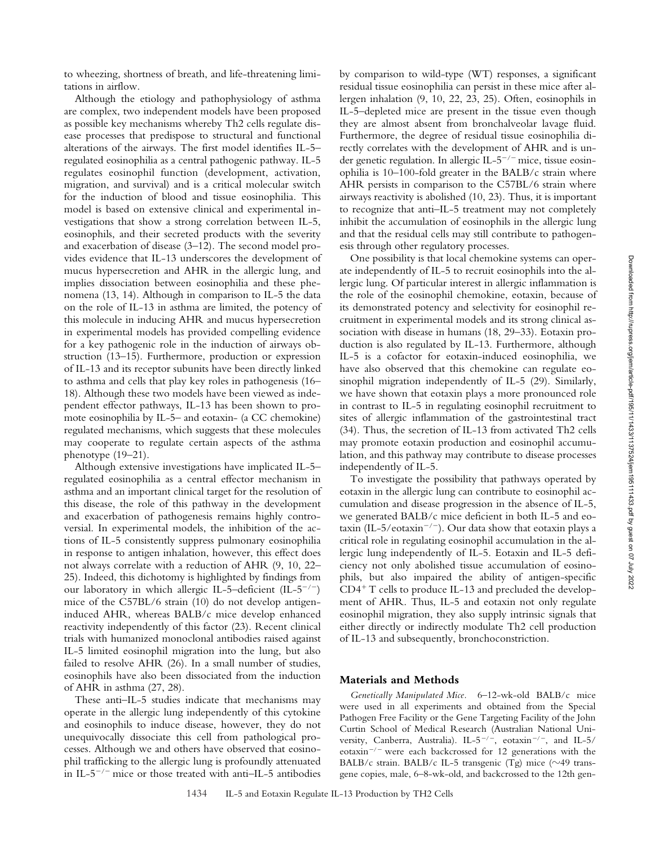Downloaded from http://rupress.org/jem/article-pdf/195/11/1433/1137524/jem195111433.pdf by guest on 07 July 2022 Downloaded from http://rupress.org/jem/article-pdf/195/11/1433/1137524/jem195111433.pdf by guest on 07 July 2022

to wheezing, shortness of breath, and life-threatening limitations in airflow.

Although the etiology and pathophysiology of asthma are complex, two independent models have been proposed as possible key mechanisms whereby Th2 cells regulate disease processes that predispose to structural and functional alterations of the airways. The first model identifies IL-5– regulated eosinophilia as a central pathogenic pathway. IL-5 regulates eosinophil function (development, activation, migration, and survival) and is a critical molecular switch for the induction of blood and tissue eosinophilia. This model is based on extensive clinical and experimental investigations that show a strong correlation between IL-5, eosinophils, and their secreted products with the severity and exacerbation of disease (3–12). The second model provides evidence that IL-13 underscores the development of mucus hypersecretion and AHR in the allergic lung, and implies dissociation between eosinophilia and these phenomena (13, 14). Although in comparison to IL-5 the data on the role of IL-13 in asthma are limited, the potency of this molecule in inducing AHR and mucus hypersecretion in experimental models has provided compelling evidence for a key pathogenic role in the induction of airways obstruction (13–15). Furthermore, production or expression of IL-13 and its receptor subunits have been directly linked to asthma and cells that play key roles in pathogenesis (16– 18). Although these two models have been viewed as independent effector pathways, IL-13 has been shown to promote eosinophilia by IL-5– and eotaxin- (a CC chemokine) regulated mechanisms, which suggests that these molecules may cooperate to regulate certain aspects of the asthma phenotype (19–21).

Although extensive investigations have implicated IL-5– regulated eosinophilia as a central effector mechanism in asthma and an important clinical target for the resolution of this disease, the role of this pathway in the development and exacerbation of pathogenesis remains highly controversial. In experimental models, the inhibition of the actions of IL-5 consistently suppress pulmonary eosinophilia in response to antigen inhalation, however, this effect does not always correlate with a reduction of AHR (9, 10, 22– 25). Indeed, this dichotomy is highlighted by findings from our laboratory in which allergic IL-5-deficient (IL-5<sup>-/-</sup>) mice of the C57BL/6 strain (10) do not develop antigeninduced AHR, whereas BALB/c mice develop enhanced reactivity independently of this factor (23). Recent clinical trials with humanized monoclonal antibodies raised against IL-5 limited eosinophil migration into the lung, but also failed to resolve AHR (26). In a small number of studies, eosinophils have also been dissociated from the induction of AHR in asthma (27, 28).

These anti–IL-5 studies indicate that mechanisms may operate in the allergic lung independently of this cytokine and eosinophils to induce disease, however, they do not unequivocally dissociate this cell from pathological processes. Although we and others have observed that eosinophil trafficking to the allergic lung is profoundly attenuated in IL-5-/- mice or those treated with anti–IL-5 antibodies

by comparison to wild-type (WT) responses, a significant residual tissue eosinophilia can persist in these mice after allergen inhalation (9, 10, 22, 23, 25). Often, eosinophils in IL-5–depleted mice are present in the tissue even though they are almost absent from bronchalveolar lavage fluid. Furthermore, the degree of residual tissue eosinophilia directly correlates with the development of AHR and is under genetic regulation. In allergic IL-5<sup>-/-</sup> mice, tissue eosinophilia is 10–100-fold greater in the BALB/c strain where AHR persists in comparison to the C57BL/6 strain where airways reactivity is abolished (10, 23). Thus, it is important to recognize that anti–IL-5 treatment may not completely inhibit the accumulation of eosinophils in the allergic lung and that the residual cells may still contribute to pathogenesis through other regulatory processes.

One possibility is that local chemokine systems can operate independently of IL-5 to recruit eosinophils into the allergic lung. Of particular interest in allergic inflammation is the role of the eosinophil chemokine, eotaxin, because of its demonstrated potency and selectivity for eosinophil recruitment in experimental models and its strong clinical association with disease in humans (18, 29–33). Eotaxin production is also regulated by IL-13. Furthermore, although IL-5 is a cofactor for eotaxin-induced eosinophilia, we have also observed that this chemokine can regulate eosinophil migration independently of IL-5 (29). Similarly, we have shown that eotaxin plays a more pronounced role in contrast to IL-5 in regulating eosinophil recruitment to sites of allergic inflammation of the gastrointestinal tract (34). Thus, the secretion of IL-13 from activated Th2 cells may promote eotaxin production and eosinophil accumulation, and this pathway may contribute to disease processes independently of IL-5.

To investigate the possibility that pathways operated by eotaxin in the allergic lung can contribute to eosinophil accumulation and disease progression in the absence of IL-5, we generated BALB/c mice deficient in both IL-5 and eotaxin (IL-5/eotaxin<sup>-/-</sup>). Our data show that eotaxin plays a critical role in regulating eosinophil accumulation in the allergic lung independently of IL-5. Eotaxin and IL-5 deficiency not only abolished tissue accumulation of eosinophils, but also impaired the ability of antigen-specific  $CD4+T$  cells to produce IL-13 and precluded the development of AHR. Thus, IL-5 and eotaxin not only regulate eosinophil migration, they also supply intrinsic signals that either directly or indirectly modulate Th2 cell production of IL-13 and subsequently, bronchoconstriction.

## **Materials and Methods**

*Genetically Manipulated Mice.* 6–12-wk-old BALB/c mice were used in all experiments and obtained from the Special Pathogen Free Facility or the Gene Targeting Facility of the John Curtin School of Medical Research (Australian National University, Canberra, Australia). IL-5<sup>-/-</sup>, eotaxin<sup>-/-</sup>, and IL-5/ eotaxin<sup>-/-</sup> were each backcrossed for 12 generations with the BALB/c strain. BALB/c IL-5 transgenic (Tg) mice ( $\sim$ 49 transgene copies, male, 6–8-wk-old, and backcrossed to the 12th gen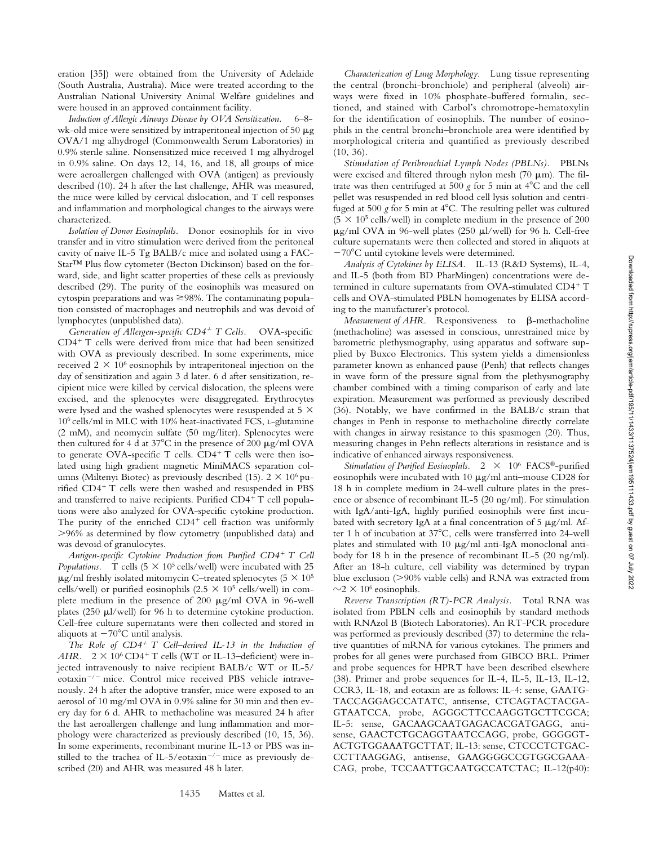eration [35]) were obtained from the University of Adelaide (South Australia, Australia). Mice were treated according to the Australian National University Animal Welfare guidelines and were housed in an approved containment facility.

*Induction of Allergic Airways Disease by OVA Sensitization.* 6–8 wk-old mice were sensitized by intraperitoneal injection of 50  $\mu$ g OVA/1 mg alhydrogel (Commonwealth Serum Laboratories) in 0.9% sterile saline. Nonsensitized mice received 1 mg alhydrogel in 0.9% saline. On days 12, 14, 16, and 18, all groups of mice were aeroallergen challenged with OVA (antigen) as previously described (10). 24 h after the last challenge, AHR was measured, the mice were killed by cervical dislocation, and T cell responses and inflammation and morphological changes to the airways were characterized.

*Isolation of Donor Eosinophils.* Donor eosinophils for in vivo transfer and in vitro stimulation were derived from the peritoneal cavity of naive IL-5 Tg BALB/c mice and isolated using a FAC-Star™ Plus flow cytometer (Becton Dickinson) based on the forward, side, and light scatter properties of these cells as previously described (29). The purity of the eosinophils was measured on cytospin preparations and was  $\geq$ 98%. The contaminating population consisted of macrophages and neutrophils and was devoid of lymphocytes (unpublished data).

*Generation of Allergen-specific CD4 T Cells.* OVA-specific  $CD4+T$  cells were derived from mice that had been sensitized with OVA as previously described. In some experiments, mice received  $2 \times 10^6$  eosinophils by intraperitoneal injection on the day of sensitization and again 3 d later. 6 d after sensitization, recipient mice were killed by cervical dislocation, the spleens were excised, and the splenocytes were disaggregated. Erythrocytes were lysed and the washed splenocytes were resuspended at 5 10<sup>6</sup> cells/ml in MLC with 10% heat-inactivated FCS, L-glutamine (2 mM), and neomycin sulfate (50 mg/liter). Splenocytes were then cultured for 4 d at  $37^{\circ}$ C in the presence of 200  $\mu$ g/ml OVA to generate OVA-specific T cells.  $CD4+T$  cells were then isolated using high gradient magnetic MiniMACS separation columns (Miltenyi Biotec) as previously described (15).  $2 \times 10^6$  purified  $CD4+T$  cells were then washed and resuspended in PBS and transferred to naive recipients. Purified  $CD4+T$  cell populations were also analyzed for OVA-specific cytokine production. The purity of the enriched  $CD4^+$  cell fraction was uniformly 96% as determined by flow cytometry (unpublished data) and was devoid of granulocytes.

*Antigen-specific Cytokine Production from Purified CD4 T Cell Populations.* T cells  $(5 \times 10^5 \text{ cells/well})$  were incubated with 25  $\mu$ g/ml freshly isolated mitomycin C–treated splenocytes (5  $\times$  10<sup>5</sup> cells/well) or purified eosinophils  $(2.5 \times 10^5 \text{ cells/well})$  in complete medium in the presence of 200  $\mu$ g/ml OVA in 96-well plates (250  $\mu$ l/well) for 96 h to determine cytokine production. Cell-free culture supernatants were then collected and stored in aliquots at  $-70^{\circ}$ C until analysis.

*The Role of CD4 T Cell–derived IL-13 in the Induction of AHR.*  $2 \times 10^6$  CD4<sup>+</sup> T cells (WT or IL-13–deficient) were injected intravenously to naive recipient BALB/c WT or IL-5/ eotaxin<sup>-/-</sup> mice. Control mice received PBS vehicle intravenously. 24 h after the adoptive transfer, mice were exposed to an aerosol of 10 mg/ml OVA in 0.9% saline for 30 min and then every day for 6 d. AHR to methacholine was measured 24 h after the last aeroallergen challenge and lung inflammation and morphology were characterized as previously described (10, 15, 36). In some experiments, recombinant murine IL-13 or PBS was instilled to the trachea of IL-5/eotaxin<sup>-/-</sup> mice as previously described (20) and AHR was measured 48 h later.

*Characterization of Lung Morphology.* Lung tissue representing the central (bronchi-bronchiole) and peripheral (alveoli) airways were fixed in 10% phosphate-buffered formalin, sectioned, and stained with Carbol's chromotrope-hematoxylin for the identification of eosinophils. The number of eosinophils in the central bronchi–bronchiole area were identified by morphological criteria and quantified as previously described (10, 36).

*Stimulation of Peribronchial Lymph Nodes (PBLNs).* PBLNs were excised and filtered through nylon mesh (70  $\mu$ m). The filtrate was then centrifuged at 500  $g$  for 5 min at 4 $^{\circ}$ C and the cell pellet was resuspended in red blood cell lysis solution and centrifuged at 500  $\varrho$  for 5 min at 4<sup>o</sup>C. The resulting pellet was cultured  $(5 \times 10^5 \text{ cells/well})$  in complete medium in the presence of 200  $\mu$ g/ml OVA in 96-well plates (250  $\mu$ l/well) for 96 h. Cell-free culture supernatants were then collected and stored in aliquots at -70C until cytokine levels were determined.

*Analysis of Cytokines by ELISA.* IL-13 (R&D Systems), IL-4, and IL-5 (both from BD PharMingen) concentrations were determined in culture supernatants from OVA-stimulated  $CD4^+T$ cells and OVA-stimulated PBLN homogenates by ELISA according to the manufacturer's protocol.

*Measurement of AHR.* Responsiveness to  $\beta$ -methacholine (methacholine) was assessed in conscious, unrestrained mice by barometric plethysmography, using apparatus and software supplied by Buxco Electronics. This system yields a dimensionless parameter known as enhanced pause (Penh) that reflects changes in wave form of the pressure signal from the plethysmography chamber combined with a timing comparison of early and late expiration. Measurement was performed as previously described (36). Notably, we have confirmed in the BALB/c strain that changes in Penh in response to methacholine directly correlate with changes in airway resistance to this spasmogen (20). Thus, measuring changes in Pehn reflects alterations in resistance and is indicative of enhanced airways responsiveness.

*Stimulation of Purified Eosinophils.*  $2 \times 10^6$  FACS®-purified eosinophils were incubated with 10  $\mu$ g/ml anti-mouse CD28 for 18 h in complete medium in 24-well culture plates in the presence or absence of recombinant IL-5 (20 ng/ml). For stimulation with IgA/anti-IgA, highly purified eosinophils were first incubated with secretory IgA at a final concentration of 5  $\mu$ g/ml. After 1 h of incubation at 37°C, cells were transferred into 24-well plates and stimulated with 10  $\mu$ g/ml anti-IgA monoclonal antibody for 18 h in the presence of recombinant IL-5 (20 ng/ml). After an 18-h culture, cell viability was determined by trypan blue exclusion (90% viable cells) and RNA was extracted from  $\sim$ 2  $\times$  10<sup>6</sup> eosinophils.

*Reverse Transcription (RT)-PCR Analysis.* Total RNA was isolated from PBLN cells and eosinophils by standard methods with RNAzol B (Biotech Laboratories). An RT-PCR procedure was performed as previously described (37) to determine the relative quantities of mRNA for various cytokines. The primers and probes for all genes were purchased from GIBCO BRL. Primer and probe sequences for HPRT have been described elsewhere (38). Primer and probe sequences for IL-4, IL-5, IL-13, IL-12, CCR3, IL-18, and eotaxin are as follows: IL-4: sense, GAATG-TACCAGGAGCCATATC, antisense, CTCAGTACTACGA-GTAATCCA, probe, AGGGCTTCCAAGGTGCTTCGCA; IL-5: sense, GACAAGCAATGAGACACGATGAGG, antisense, GAACTCTGCAGGTAATCCAGG, probe, GGGGGT-ACTGTGGAAATGCTTAT; IL-13: sense, CTCCCTCTGAC-CCTTAAGGAG, antisense, GAAGGGGCCGTGGCGAAA-CAG, probe, TCCAATTGCAATGCCATCTAC; IL-12(p40):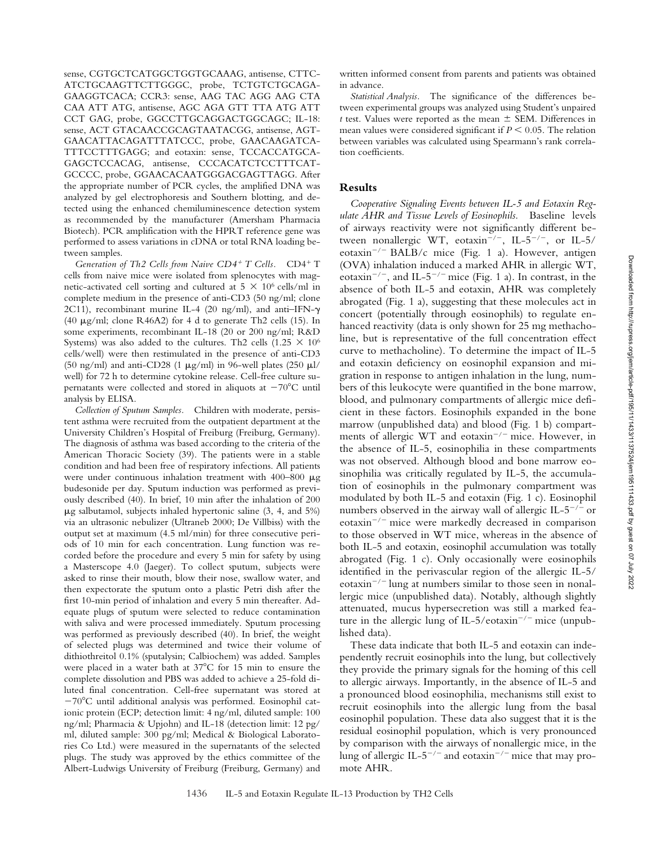sense, CGTGCTCATGGCTGGTGCAAAG, antisense, CTTC-ATCTGCAAGTTCTTGGGC, probe, TCTGTCTGCAGA-GAAGGTCACA; CCR3: sense, AAG TAC AGG AAG CTA CAA ATT ATG, antisense, AGC AGA GTT TTA ATG ATT CCT GAG, probe, GGCCTTGCAGGACTGGCAGC; IL-18: sense, ACT GTACAACCGCAGTAATACGG, antisense, AGT-GAACATTACAGATTTATCCC, probe, GAACAAGATCA-TTTCCTTTGAGG; and eotaxin: sense, TCCACCATGCA-GAGCTCCACAG, antisense, CCCACATCTCCTTTCAT-GCCCC, probe, GGAACACAATGGGACGAGTTAGG. After the appropriate number of PCR cycles, the amplified DNA was analyzed by gel electrophoresis and Southern blotting, and detected using the enhanced chemiluminescence detection system as recommended by the manufacturer (Amersham Pharmacia Biotech). PCR amplification with the HPRT reference gene was performed to assess variations in cDNA or total RNA loading between samples.

*Generation of Th2 Cells from Naive CD4<sup>+</sup> T Cells.* CD4<sup>+</sup> T cells from naive mice were isolated from splenocytes with magnetic-activated cell sorting and cultured at  $5 \times 10^6$  cells/ml in complete medium in the presence of anti-CD3 (50 ng/ml; clone 2C11), recombinant murine IL-4 (20 ng/ml), and anti-IFN- $\gamma$ (40  $\mu$ g/ml; clone R46A2) for 4 d to generate Th2 cells (15). In some experiments, recombinant IL-18 (20 or 200 ng/ml; R&D Systems) was also added to the cultures. Th2 cells (1.25  $\times$  10<sup>6</sup> cells/well) were then restimulated in the presence of anti-CD3 (50 ng/ml) and anti-CD28 (1  $\mu$ g/ml) in 96-well plates (250  $\mu$ l/ well) for 72 h to determine cytokine release. Cell-free culture supernatants were collected and stored in aliquots at  $-70^{\circ}$ C until analysis by ELISA.

*Collection of Sputum Samples.* Children with moderate, persistent asthma were recruited from the outpatient department at the University Children's Hospital of Freiburg (Freiburg, Germany). The diagnosis of asthma was based according to the criteria of the American Thoracic Society (39). The patients were in a stable condition and had been free of respiratory infections. All patients were under continuous inhalation treatment with  $400-800 \mu g$ budesonide per day. Sputum induction was performed as previously described (40). In brief, 10 min after the inhalation of 200  $\mu$ g salbutamol, subjects inhaled hypertonic saline (3, 4, and 5%) via an ultrasonic nebulizer (Ultraneb 2000; De Villbiss) with the output set at maximum (4.5 ml/min) for three consecutive periods of 10 min for each concentration. Lung function was recorded before the procedure and every 5 min for safety by using a Masterscope 4.0 (Jaeger). To collect sputum, subjects were asked to rinse their mouth, blow their nose, swallow water, and then expectorate the sputum onto a plastic Petri dish after the first 10-min period of inhalation and every 5 min thereafter. Adequate plugs of sputum were selected to reduce contamination with saliva and were processed immediately. Sputum processing was performed as previously described (40). In brief, the weight of selected plugs was determined and twice their volume of dithiothreitol 0.1% (sputalysin; Calbiochem) was added. Samples were placed in a water bath at  $37^{\circ}$ C for 15 min to ensure the complete dissolution and PBS was added to achieve a 25-fold diluted final concentration. Cell-free supernatant was stored at -70C until additional analysis was performed. Eosinophil cationic protein (ECP; detection limit: 4 ng/ml, diluted sample: 100 ng/ml; Pharmacia & Upjohn) and IL-18 (detection limit: 12 pg/ ml, diluted sample: 300 pg/ml; Medical & Biological Laboratories Co Ltd.) were measured in the supernatants of the selected plugs. The study was approved by the ethics committee of the Albert-Ludwigs University of Freiburg (Freiburg, Germany) and

written informed consent from parents and patients was obtained in advance.

*Statistical Analysis.* The significance of the differences between experimental groups was analyzed using Student's unpaired *t* test. Values were reported as the mean  $\pm$  SEM. Differences in mean values were considered significant if  $P \leq 0.05$ . The relation between variables was calculated using Spearmann's rank correlation coefficients.

## **Results**

*Cooperative Signaling Events between IL-5 and Eotaxin Regulate AHR and Tissue Levels of Eosinophils.* Baseline levels of airways reactivity were not significantly different between nonallergic WT, eotaxin<sup>-/-</sup>, IL-5<sup>-/-</sup>, or IL-5/ eotaxin<sup>-/-</sup> BALB/c mice (Fig. 1 a). However, antigen (OVA) inhalation induced a marked AHR in allergic WT, eotaxin<sup>-/-</sup>, and IL-5<sup>-/-</sup> mice (Fig. 1 a). In contrast, in the absence of both IL-5 and eotaxin, AHR was completely abrogated (Fig. 1 a), suggesting that these molecules act in concert (potentially through eosinophils) to regulate enhanced reactivity (data is only shown for 25 mg methacholine, but is representative of the full concentration effect curve to methacholine). To determine the impact of IL-5 and eotaxin deficiency on eosinophil expansion and migration in response to antigen inhalation in the lung, numbers of this leukocyte were quantified in the bone marrow, blood, and pulmonary compartments of allergic mice deficient in these factors. Eosinophils expanded in the bone marrow (unpublished data) and blood (Fig. 1 b) compartments of allergic WT and eotaxin<sup>-/-</sup> mice. However, in the absence of IL-5, eosinophilia in these compartments was not observed. Although blood and bone marrow eosinophilia was critically regulated by IL-5, the accumulation of eosinophils in the pulmonary compartment was modulated by both IL-5 and eotaxin (Fig. 1 c). Eosinophil numbers observed in the airway wall of allergic IL-5 $^{-/-}$  or eotaxin<sup>-/-</sup> mice were markedly decreased in comparison to those observed in WT mice, whereas in the absence of both IL-5 and eotaxin, eosinophil accumulation was totally abrogated (Fig. 1 c). Only occasionally were eosinophils identified in the perivascular region of the allergic IL-5/ eotaxin<sup>-/-</sup> lung at numbers similar to those seen in nonallergic mice (unpublished data). Notably, although slightly attenuated, mucus hypersecretion was still a marked feature in the allergic lung of IL-5/eotaxin<sup>-/-</sup> mice (unpublished data).

These data indicate that both IL-5 and eotaxin can independently recruit eosinophils into the lung, but collectively they provide the primary signals for the homing of this cell to allergic airways. Importantly, in the absence of IL-5 and a pronounced blood eosinophilia, mechanisms still exist to recruit eosinophils into the allergic lung from the basal eosinophil population. These data also suggest that it is the residual eosinophil population, which is very pronounced by comparison with the airways of nonallergic mice, in the lung of allergic IL-5<sup>-/-</sup> and eotaxin<sup>-/-</sup> mice that may promote AHR.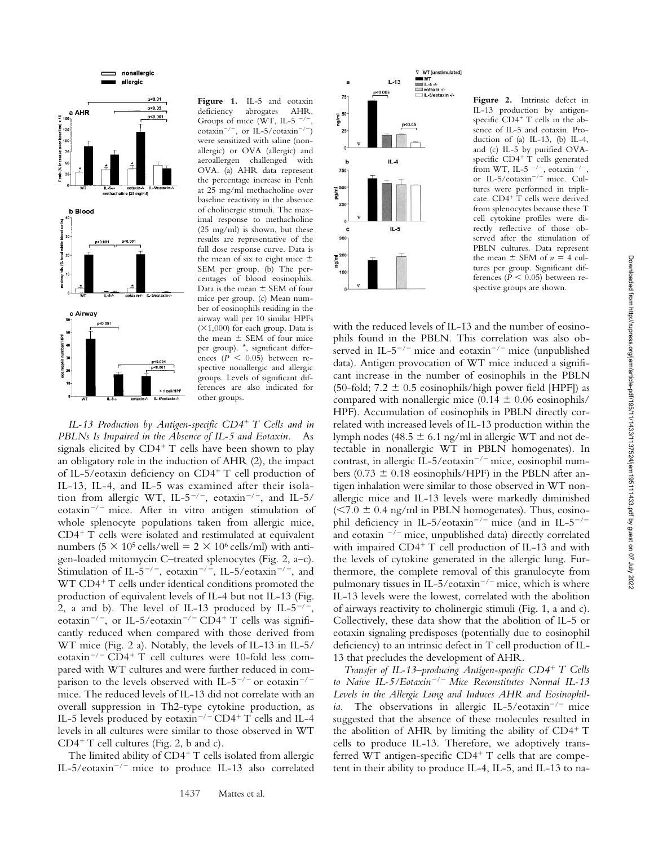

**Figure 1.** IL-5 and eotaxin deficiency abrogates AHR. Groups of mice (WT, IL-5  $^{-/-}$ , eotaxin<sup>-/-</sup>, or IL-5/eotaxin<sup>-/-</sup>) were sensitized with saline (nonallergic) or OVA (allergic) and aeroallergen challenged with OVA. (a) AHR data represent the percentage increase in Penh at 25 mg/ml methacholine over baseline reactivity in the absence of cholinergic stimuli. The maximal response to methacholine (25 mg/ml) is shown, but these results are representative of the full dose response curve. Data is the mean of six to eight mice  $\pm$ SEM per group. (b) The percentages of blood eosinophils. Data is the mean  $\pm$  SEM of four mice per group. (c) Mean number of eosinophils residing in the airway wall per 10 similar HPFs  $(X1,000)$  for each group. Data is the mean  $\pm$  SEM of four mice per group). \*, significant differences  $(P < 0.05)$  between respective nonallergic and allergic groups. Levels of significant differences are also indicated for other groups.

*IL-13 Production by Antigen-specific CD4 T Cells and in PBLNs Is Impaired in the Absence of IL-5 and Eotaxin.* As signals elicited by  $CD4+T$  cells have been shown to play an obligatory role in the induction of AHR (2), the impact of IL-5/eotaxin deficiency on CD4<sup>+</sup> T cell production of IL-13, IL-4, and IL-5 was examined after their isolation from allergic WT, IL-5<sup>-/-</sup>, eotaxin<sup>-/-</sup>, and IL-5/ eotaxin<sup>-/-</sup> mice. After in vitro antigen stimulation of whole splenocyte populations taken from allergic mice,  $CD4+T$  cells were isolated and restimulated at equivalent numbers  $(5 \times 10^5 \text{ cells/well} = 2 \times 10^6 \text{ cells/ml})$  with antigen-loaded mitomycin C–treated splenocytes (Fig. 2, a–c). Stimulation of IL-5<sup>-/-</sup>, eotaxin<sup>-/-</sup>, IL-5/eotaxin<sup>-/-</sup>, and  $WT CD4+T$  cells under identical conditions promoted the production of equivalent levels of IL-4 but not IL-13 (Fig. 2, a and b). The level of IL-13 produced by IL- $5^{-/-}$ , eotaxin<sup>-/-</sup>, or IL-5/eotaxin<sup>-/-</sup> CD4<sup>+</sup> T cells was significantly reduced when compared with those derived from WT mice (Fig. 2 a). Notably, the levels of IL-13 in IL-5/ eotaxin<sup>-/-</sup> CD4<sup>+</sup> T cell cultures were 10-fold less compared with WT cultures and were further reduced in comparison to the levels observed with IL-5<sup>-/-</sup> or eotaxin<sup>-/-</sup> mice. The reduced levels of IL-13 did not correlate with an overall suppression in Th2-type cytokine production, as IL-5 levels produced by eotaxin<sup>-/-</sup>CD4<sup>+</sup> T cells and IL-4 levels in all cultures were similar to those observed in WT  $CD4+T$  cell cultures (Fig. 2, b and c).

The limited ability of  $CD4+T$  cells isolated from allergic IL-5/eotaxin<sup>-/-</sup> mice to produce IL-13 also correlated



**Figure 2.** Intrinsic defect in IL-13 production by antigenspecific CD4+ T cells in the absence of IL-5 and eotaxin. Production of (a) IL-13, (b) IL-4, and (c) IL-5 by purified OVAspecific CD4<sup>+</sup> T cells generated from WT, IL-5  $^{-/-}$ , eotaxin<sup>-/-</sup> , or IL-5/eotaxin<sup>-/-</sup> mice. Cultures were performed in triplicate. CD4<sup>+</sup> T cells were derived from splenocytes because these T cell cytokine profiles were directly reflective of those observed after the stimulation of PBLN cultures. Data represent the mean  $\pm$  SEM of  $n = 4$  cultures per group. Significant differences ( $P < 0.05$ ) between respective groups are shown.

with the reduced levels of IL-13 and the number of eosinophils found in the PBLN. This correlation was also observed in IL-5<sup>-/-</sup> mice and eotaxin<sup>-/-</sup> mice (unpublished data). Antigen provocation of WT mice induced a significant increase in the number of eosinophils in the PBLN (50-fold; 7.2  $\pm$  0.5 eosinophils/high power field [HPF]) as compared with nonallergic mice  $(0.14 \pm 0.06 \text{ eosinophils}/$ HPF). Accumulation of eosinophils in PBLN directly correlated with increased levels of IL-13 production within the lymph nodes (48.5  $\pm$  6.1 ng/ml in allergic WT and not detectable in nonallergic WT in PBLN homogenates). In contrast, in allergic IL-5/eotaxin<sup>-/-</sup> mice, eosinophil numbers (0.73  $\pm$  0.18 eosinophils/HPF) in the PBLN after antigen inhalation were similar to those observed in WT nonallergic mice and IL-13 levels were markedly diminished  $(< 7.0 \pm 0.4$  ng/ml in PBLN homogenates). Thus, eosinophil deficiency in IL-5/eotaxin<sup>-/-</sup> mice (and in IL-5<sup>-/-</sup> and eotaxin  $\frac{-}{-}$  mice, unpublished data) directly correlated with impaired  $CD4+T$  cell production of IL-13 and with the levels of cytokine generated in the allergic lung. Furthermore, the complete removal of this granulocyte from pulmonary tissues in IL-5/eotaxin<sup>-/-</sup> mice, which is where IL-13 levels were the lowest, correlated with the abolition of airways reactivity to cholinergic stimuli (Fig. 1, a and c). Collectively, these data show that the abolition of IL-5 or eotaxin signaling predisposes (potentially due to eosinophil deficiency) to an intrinsic defect in T cell production of IL-13 that precludes the development of AHR.

*Transfer of IL-13–producing Antigen-specific CD4 T Cells to Naive IL-5/Eotaxin*-*/*- *Mice Reconstitutes Normal IL-13 Levels in the Allergic Lung and Induces AHR and Eosinophil*ia. The observations in allergic IL-5/eotaxin<sup>-/-</sup> mice suggested that the absence of these molecules resulted in the abolition of AHR by limiting the ability of  $CD4^+$  T cells to produce IL-13. Therefore, we adoptively transferred WT antigen-specific  $CD4^+$  T cells that are competent in their ability to produce IL-4, IL-5, and IL-13 to na-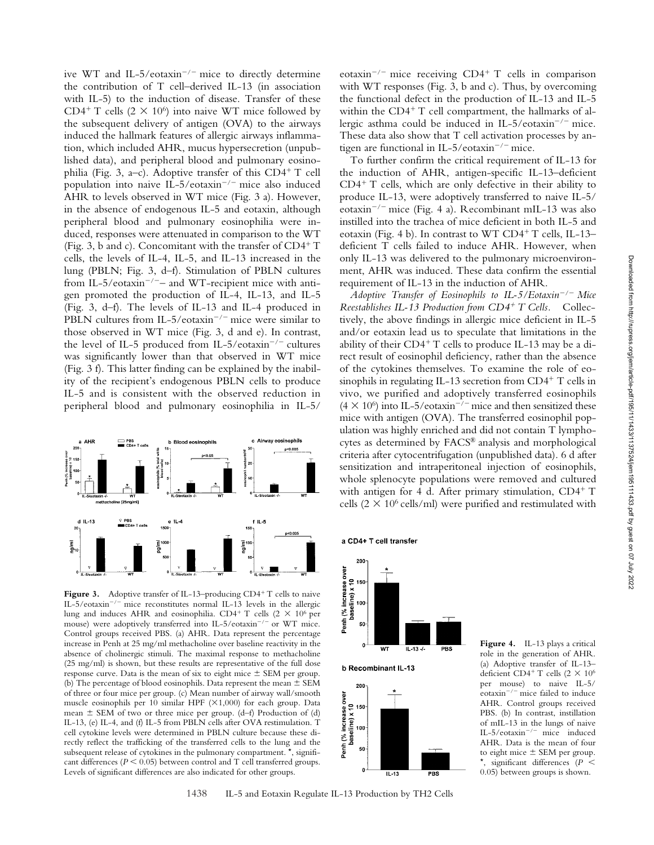ive WT and IL-5/eotaxin<sup>-/-</sup> mice to directly determine the contribution of T cell–derived IL-13 (in association with IL-5) to the induction of disease. Transfer of these CD4<sup>+</sup> T cells (2  $\times$  10<sup>6</sup>) into naive WT mice followed by the subsequent delivery of antigen (OVA) to the airways induced the hallmark features of allergic airways inflammation, which included AHR, mucus hypersecretion (unpublished data), and peripheral blood and pulmonary eosinophilia (Fig. 3, a–c). Adoptive transfer of this  $CD4^+$  T cell population into naive IL-5/eotaxin<sup>-/-</sup> mice also induced AHR to levels observed in WT mice (Fig. 3 a). However, in the absence of endogenous IL-5 and eotaxin, although peripheral blood and pulmonary eosinophilia were induced, responses were attenuated in comparison to the WT (Fig. 3, b and c). Concomitant with the transfer of  $CD4^+T$ cells, the levels of IL-4, IL-5, and IL-13 increased in the lung (PBLN; Fig. 3, d–f). Stimulation of PBLN cultures from IL-5/eotaxin<sup>-/-</sup>- and WT-recipient mice with antigen promoted the production of IL-4, IL-13, and IL-5 (Fig. 3, d–f). The levels of IL-13 and IL-4 produced in PBLN cultures from IL-5/eotaxin<sup>-/-</sup> mice were similar to those observed in WT mice (Fig. 3, d and e). In contrast, the level of IL-5 produced from IL-5/eotaxin<sup>-/-</sup> cultures was significantly lower than that observed in WT mice (Fig. 3 f). This latter finding can be explained by the inability of the recipient's endogenous PBLN cells to produce IL-5 and is consistent with the observed reduction in peripheral blood and pulmonary eosinophilia in IL-5/



Figure 3. Adoptive transfer of IL-13–producing CD4<sup>+</sup> T cells to naive IL-5/eotaxin<sup>-/-</sup> mice reconstitutes normal IL-13 levels in the allergic lung and induces AHR and eosinophilia. CD4<sup>+</sup> T cells  $(2 \times 10^6$  per mouse) were adoptively transferred into IL-5/eotaxin<sup>-/-</sup> or WT mice. Control groups received PBS. (a) AHR. Data represent the percentage increase in Penh at 25 mg/ml methacholine over baseline reactivity in the absence of cholinergic stimuli. The maximal response to methacholine (25 mg/ml) is shown, but these results are representative of the full dose response curve. Data is the mean of six to eight mice  $\pm$  SEM per group. (b) The percentage of blood eosinophils. Data represent the mean  $\pm$  SEM of three or four mice per group. (c) Mean number of airway wall/smooth muscle eosinophils per 10 similar HPF  $(X1,000)$  for each group. Data mean  $\pm$  SEM of two or three mice per group. (d–f) Production of (d) IL-13, (e) IL-4, and (f) IL-5 from PBLN cells after OVA restimulation. T cell cytokine levels were determined in PBLN culture because these directly reflect the trafficking of the transferred cells to the lung and the subsequent release of cytokines in the pulmonary compartment. \*, significant differences ( $P < 0.05$ ) between control and T cell transferred groups. Levels of significant differences are also indicated for other groups.

eotaxin<sup>-/-</sup> mice receiving CD4<sup>+</sup> T cells in comparison with WT responses (Fig. 3, b and c). Thus, by overcoming the functional defect in the production of IL-13 and IL-5 within the CD4+ T cell compartment, the hallmarks of allergic asthma could be induced in IL-5/eotaxin<sup>-/-</sup> mice. These data also show that T cell activation processes by antigen are functional in IL-5/eotaxin<sup>-/-</sup> mice.

To further confirm the critical requirement of IL-13 for the induction of AHR, antigen-specific IL-13–deficient  $CD4+T$  cells, which are only defective in their ability to produce IL-13, were adoptively transferred to naive IL-5/ eotaxin<sup>-/-</sup> mice (Fig. 4 a). Recombinant mIL-13 was also instilled into the trachea of mice deficient in both IL-5 and eotaxin (Fig. 4 b). In contrast to WT CD4+ T cells, IL-13deficient T cells failed to induce AHR. However, when only IL-13 was delivered to the pulmonary microenvironment, AHR was induced. These data confirm the essential requirement of IL-13 in the induction of AHR.

*Adoptive Transfer of Eosinophils to IL-5/Eotaxin*-*/*- *Mice Reestablishes IL-13 Production from CD4 T Cells.* Collectively, the above findings in allergic mice deficient in IL-5 and/or eotaxin lead us to speculate that limitations in the ability of their  $CD4+T$  cells to produce IL-13 may be a direct result of eosinophil deficiency, rather than the absence of the cytokines themselves. To examine the role of eosinophils in regulating IL-13 secretion from  $CD4^+$  T cells in vivo, we purified and adoptively transferred eosinophils  $(4 \times 10^6)$  into IL-5/eotaxin<sup>-/-</sup> mice and then sensitized these mice with antigen (OVA). The transferred eosinophil population was highly enriched and did not contain T lymphocytes as determined by FACS® analysis and morphological criteria after cytocentrifugation (unpublished data). 6 d after sensitization and intraperitoneal injection of eosinophils, whole splenocyte populations were removed and cultured with antigen for 4 d. After primary stimulation,  $CD4^+$  T cells  $(2 \times 10^6 \text{ cells/ml})$  were purified and restimulated with

a CD4+ T cell transfer



**b Recombinant IL-13** 



Figure 4. IL-13 plays a critical role in the generation of AHR. (a) Adoptive transfer of IL-13– deficient CD4<sup>+</sup> T cells (2  $\times$  10<sup>6</sup> per mouse) to naive IL-5/ eotaxin<sup>-/-</sup> mice failed to induce AHR. Control groups received PBS. (b) In contrast, instillation of mIL-13 in the lungs of naive IL-5/eotaxin-/- mice induced AHR. Data is the mean of four to eight mice  $\pm$  SEM per group.  $\frac{1}{2}$ , significant differences ( $P <$ 0.05) between groups is shown.

1438 IL-5 and Eotaxin Regulate IL-13 Production by TH2 Cells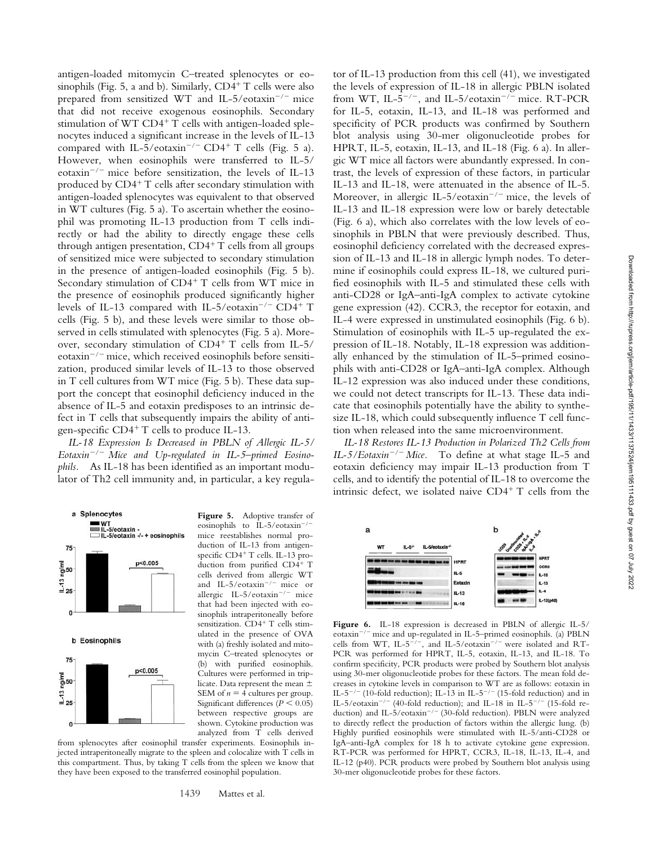antigen-loaded mitomycin C–treated splenocytes or eosinophils (Fig. 5, a and b). Similarly,  $CD4^+$  T cells were also prepared from sensitized WT and IL-5/eotaxin<sup>-/-</sup> mice that did not receive exogenous eosinophils. Secondary stimulation of WT CD4<sup>+</sup> T cells with antigen-loaded splenocytes induced a significant increase in the levels of IL-13 compared with IL-5/eotaxin<sup>-/-</sup> CD4<sup>+</sup> T cells (Fig. 5 a). However, when eosinophils were transferred to IL-5/ eotaxin<sup>-/-</sup> mice before sensitization, the levels of IL-13 produced by  $CD4+T$  cells after secondary stimulation with antigen-loaded splenocytes was equivalent to that observed in WT cultures (Fig. 5 a). To ascertain whether the eosinophil was promoting IL-13 production from T cells indirectly or had the ability to directly engage these cells through antigen presentation,  $CD4+T$  cells from all groups of sensitized mice were subjected to secondary stimulation in the presence of antigen-loaded eosinophils (Fig. 5 b). Secondary stimulation of  $CD4^+$  T cells from WT mice in the presence of eosinophils produced significantly higher levels of IL-13 compared with IL-5/eotaxin<sup>-/-</sup> CD4<sup>+</sup> T cells (Fig. 5 b), and these levels were similar to those observed in cells stimulated with splenocytes (Fig. 5 a). Moreover, secondary stimulation of  $CD4^+$  T cells from IL-5/ eotaxin<sup>-/-</sup> mice, which received eosinophils before sensitization, produced similar levels of IL-13 to those observed in T cell cultures from WT mice (Fig. 5 b). These data support the concept that eosinophil deficiency induced in the absence of IL-5 and eotaxin predisposes to an intrinsic defect in T cells that subsequently impairs the ability of antigen-specific  $CD4^+$  T cells to produce IL-13.

*IL-18 Expression Is Decreased in PBLN of Allergic IL-5/ Eotaxin*-*/*- *Mice and Up-regulated in IL-5–primed Eosinophils.* As IL-18 has been identified as an important modulator of Th2 cell immunity and, in particular, a key regula-



Figure 5. Adoptive transfer of eosinophils to IL-5/eotaxin<sup>-/-</sup> mice reestablishes normal production of IL-13 from antigenspecific CD4<sup>+</sup> T cells. IL-13 production from purified CD4+ T cells derived from allergic WT and IL-5/eotaxin-/- mice or allergic IL-5/eotaxin<sup>-/-</sup> mice that had been injected with eosinophils intraperitoneally before sensitization. CD4<sup>+</sup> T cells stimulated in the presence of OVA with (a) freshly isolated and mitomycin C–treated splenocytes or (b) with purified eosinophils. Cultures were performed in triplicate. Data represent the mean SEM of  $n = 4$  cultures per group. Significant differences ( $P < 0.05$ ) between respective groups are shown. Cytokine production was analyzed from T cells derived

from splenocytes after eosinophil transfer experiments. Eosinophils injected intraperitoneally migrate to the spleen and colocalize with T cells in this compartment. Thus, by taking T cells from the spleen we know that they have been exposed to the transferred eosinophil population.

tor of IL-13 production from this cell (41), we investigated the levels of expression of IL-18 in allergic PBLN isolated from WT, IL-5<sup>-/-</sup>, and IL-5/eotaxin<sup>-/-</sup> mice. RT-PCR for IL-5, eotaxin, IL-13, and IL-18 was performed and specificity of PCR products was confirmed by Southern blot analysis using 30-mer oligonucleotide probes for HPRT, IL-5, eotaxin, IL-13, and IL-18 (Fig. 6 a). In allergic WT mice all factors were abundantly expressed. In contrast, the levels of expression of these factors, in particular IL-13 and IL-18, were attenuated in the absence of IL-5. Moreover, in allergic IL-5/eotaxin<sup>-/-</sup> mice, the levels of IL-13 and IL-18 expression were low or barely detectable (Fig. 6 a), which also correlates with the low levels of eosinophils in PBLN that were previously described. Thus, eosinophil deficiency correlated with the decreased expression of IL-13 and IL-18 in allergic lymph nodes. To determine if eosinophils could express IL-18, we cultured purified eosinophils with IL-5 and stimulated these cells with anti-CD28 or IgA–anti-IgA complex to activate cytokine gene expression (42). CCR3, the receptor for eotaxin, and IL-4 were expressed in unstimulated eosinophils (Fig. 6 b). Stimulation of eosinophils with IL-5 up-regulated the expression of IL-18. Notably, IL-18 expression was additionally enhanced by the stimulation of IL-5–primed eosinophils with anti-CD28 or IgA–anti-IgA complex. Although IL-12 expression was also induced under these conditions, we could not detect transcripts for IL-13. These data indicate that eosinophils potentially have the ability to synthesize IL-18, which could subsequently influence T cell function when released into the same microenvironment.

*IL-18 Restores IL-13 Production in Polarized Th2 Cells from IL-5/Eotaxin*-*/*- *Mice.* To define at what stage IL-5 and eotaxin deficiency may impair IL-13 production from T cells, and to identify the potential of IL-18 to overcome the intrinsic defect, we isolated naive  $CD4^+$  T cells from the

HPRT

IL-5

Fotox

 $IL-13$ 

 $IL - 18$ 

ccR:

L-18

L-13

 $R - 120$ 

a

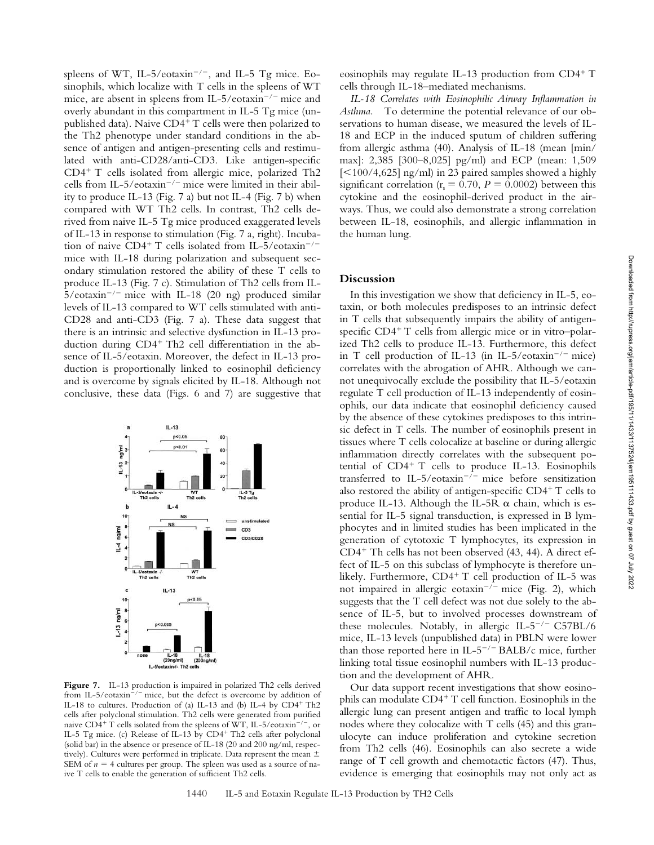spleens of WT, IL-5/eotaxin<sup>-/-</sup>, and IL-5 Tg mice. Eosinophils, which localize with T cells in the spleens of WT mice, are absent in spleens from IL-5/eotaxin<sup>-/-</sup> mice and overly abundant in this compartment in IL-5 Tg mice (unpublished data). Naive  $CD4+T$  cells were then polarized to the Th2 phenotype under standard conditions in the absence of antigen and antigen-presenting cells and restimulated with anti-CD28/anti-CD3. Like antigen-specific  $CD4^+$  T cells isolated from allergic mice, polarized Th2 cells from IL-5/eotaxin<sup>-/-</sup> mice were limited in their ability to produce IL-13 (Fig. 7 a) but not IL-4 (Fig. 7 b) when compared with WT Th2 cells. In contrast, Th2 cells derived from naive IL-5 Tg mice produced exaggerated levels of IL-13 in response to stimulation (Fig. 7 a, right). Incubation of naive  $CD4^+$  T cells isolated from IL-5/eotaxin<sup>-/-</sup> mice with IL-18 during polarization and subsequent secondary stimulation restored the ability of these T cells to produce IL-13 (Fig. 7 c). Stimulation of Th2 cells from IL-5/eotaxin-/- mice with IL-18 (20 ng) produced similar levels of IL-13 compared to WT cells stimulated with anti-CD28 and anti-CD3 (Fig. 7 a). These data suggest that there is an intrinsic and selective dysfunction in IL-13 production during  $CD4^+$  Th2 cell differentiation in the absence of IL-5/eotaxin. Moreover, the defect in IL-13 production is proportionally linked to eosinophil deficiency and is overcome by signals elicited by IL-18. Although not conclusive, these data (Figs. 6 and 7) are suggestive that



Figure 7. IL-13 production is impaired in polarized Th2 cells derived from IL-5/eotaxin<sup>-/-</sup> mice, but the defect is overcome by addition of IL-18 to cultures. Production of (a) IL-13 and (b) IL-4 by CD4<sup>+</sup> Th2 cells after polyclonal stimulation. Th2 cells were generated from purified naive CD4<sup>+</sup> T cells isolated from the spleens of WT, IL-5/eotaxin<sup>-/-</sup>, or IL-5 Tg mice. (c) Release of IL-13 by CD4<sup>+</sup> Th2 cells after polyclonal (solid bar) in the absence or presence of IL-18 (20 and 200 ng/ml, respectively). Cultures were performed in triplicate. Data represent the mean  $\pm$ SEM of  $n = 4$  cultures per group. The spleen was used as a source of naive T cells to enable the generation of sufficient Th2 cells.

eosinophils may regulate IL-13 production from  $CD4^+$  T cells through IL-18–mediated mechanisms.

*IL-18 Correlates with Eosinophilic Airway Inflammation in Asthma.* To determine the potential relevance of our observations to human disease, we measured the levels of IL-18 and ECP in the induced sputum of children suffering from allergic asthma (40). Analysis of IL-18 (mean [min/ max]: 2,385 [300–8,025] pg/ml) and ECP (mean: 1,509  $\left[$  <100/4,625] ng/ml) in 23 paired samples showed a highly significant correlation ( $r_s = 0.70$ ,  $P = 0.0002$ ) between this cytokine and the eosinophil-derived product in the airways. Thus, we could also demonstrate a strong correlation between IL-18, eosinophils, and allergic inflammation in the human lung.

## **Discussion**

In this investigation we show that deficiency in IL-5, eotaxin, or both molecules predisposes to an intrinsic defect in T cells that subsequently impairs the ability of antigenspecific  $CD4+T$  cells from allergic mice or in vitro–polarized Th2 cells to produce IL-13. Furthermore, this defect in T cell production of IL-13 (in IL-5/eotaxin<sup>-/-</sup> mice) correlates with the abrogation of AHR. Although we cannot unequivocally exclude the possibility that IL-5/eotaxin regulate T cell production of IL-13 independently of eosinophils, our data indicate that eosinophil deficiency caused by the absence of these cytokines predisposes to this intrinsic defect in T cells. The number of eosinophils present in tissues where T cells colocalize at baseline or during allergic inflammation directly correlates with the subsequent potential of  $CD4^+$  T cells to produce IL-13. Eosinophils transferred to IL-5/eotaxin-/- mice before sensitization also restored the ability of antigen-specific  $CD4^+$  T cells to produce IL-13. Although the IL-5R  $\alpha$  chain, which is essential for IL-5 signal transduction, is expressed in B lymphocytes and in limited studies has been implicated in the generation of cytotoxic T lymphocytes, its expression in  $CD4^+$  Th cells has not been observed (43, 44). A direct effect of IL-5 on this subclass of lymphocyte is therefore unlikely. Furthermore,  $CD4^+$  T cell production of IL-5 was not impaired in allergic eotaxin<sup>-/-</sup> mice (Fig. 2), which suggests that the T cell defect was not due solely to the absence of IL-5, but to involved processes downstream of these molecules. Notably, in allergic IL- $5^{-/-}$  C57BL/6 mice, IL-13 levels (unpublished data) in PBLN were lower than those reported here in IL-5<sup>-/-</sup> BALB/c mice, further linking total tissue eosinophil numbers with IL-13 production and the development of AHR.

Our data support recent investigations that show eosinophils can modulate  $CD4+T$  cell function. Eosinophils in the allergic lung can present antigen and traffic to local lymph nodes where they colocalize with T cells (45) and this granulocyte can induce proliferation and cytokine secretion from Th2 cells (46). Eosinophils can also secrete a wide range of T cell growth and chemotactic factors (47). Thus, evidence is emerging that eosinophils may not only act as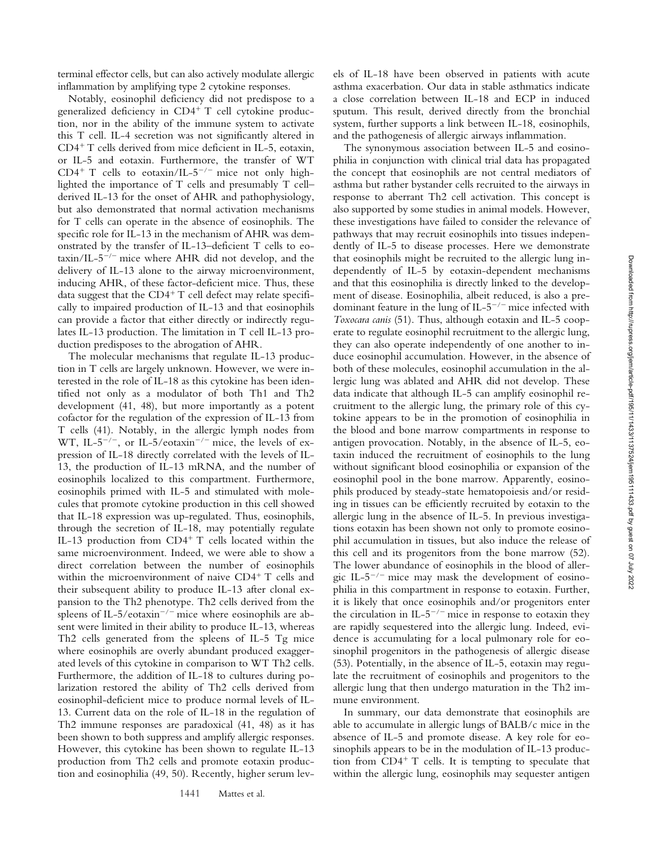terminal effector cells, but can also actively modulate allergic inflammation by amplifying type 2 cytokine responses.

Notably, eosinophil deficiency did not predispose to a generalized deficiency in  $CD4^+$  T cell cytokine production, nor in the ability of the immune system to activate this T cell. IL-4 secretion was not significantly altered in  $CD4+T$  cells derived from mice deficient in IL-5, eotaxin, or IL-5 and eotaxin. Furthermore, the transfer of WT CD4<sup>+</sup> T cells to eotaxin/IL-5<sup>-/-</sup> mice not only highlighted the importance of T cells and presumably T cell– derived IL-13 for the onset of AHR and pathophysiology, but also demonstrated that normal activation mechanisms for T cells can operate in the absence of eosinophils. The specific role for IL-13 in the mechanism of AHR was demonstrated by the transfer of IL-13–deficient T cells to eotaxin/IL-5<sup>-/-</sup> mice where AHR did not develop, and the delivery of IL-13 alone to the airway microenvironment, inducing AHR, of these factor-deficient mice. Thus, these data suggest that the  $CD4+T$  cell defect may relate specifically to impaired production of IL-13 and that eosinophils can provide a factor that either directly or indirectly regulates IL-13 production. The limitation in T cell IL-13 production predisposes to the abrogation of AHR.

The molecular mechanisms that regulate IL-13 production in T cells are largely unknown. However, we were interested in the role of IL-18 as this cytokine has been identified not only as a modulator of both Th1 and Th2 development (41, 48), but more importantly as a potent cofactor for the regulation of the expression of IL-13 from T cells (41). Notably, in the allergic lymph nodes from WT, IL-5<sup>-/-</sup>, or IL-5/eotaxin<sup>-/-</sup> mice, the levels of expression of IL-18 directly correlated with the levels of IL-13, the production of IL-13 mRNA, and the number of eosinophils localized to this compartment. Furthermore, eosinophils primed with IL-5 and stimulated with molecules that promote cytokine production in this cell showed that IL-18 expression was up-regulated. Thus, eosinophils, through the secretion of IL-18, may potentially regulate IL-13 production from  $CD4^+$  T cells located within the same microenvironment. Indeed, we were able to show a direct correlation between the number of eosinophils within the microenvironment of naive  $CD4^+$  T cells and their subsequent ability to produce IL-13 after clonal expansion to the Th2 phenotype. Th2 cells derived from the spleens of IL-5/eotaxin<sup>-/-</sup> mice where eosinophils are absent were limited in their ability to produce IL-13, whereas Th2 cells generated from the spleens of IL-5 Tg mice where eosinophils are overly abundant produced exaggerated levels of this cytokine in comparison to WT Th2 cells. Furthermore, the addition of IL-18 to cultures during polarization restored the ability of Th2 cells derived from eosinophil-deficient mice to produce normal levels of IL-13. Current data on the role of IL-18 in the regulation of Th2 immune responses are paradoxical (41, 48) as it has been shown to both suppress and amplify allergic responses. However, this cytokine has been shown to regulate IL-13 production from Th2 cells and promote eotaxin production and eosinophilia (49, 50). Recently, higher serum lev-

1441 Mattes et al.

els of IL-18 have been observed in patients with acute asthma exacerbation. Our data in stable asthmatics indicate a close correlation between IL-18 and ECP in induced sputum. This result, derived directly from the bronchial system, further supports a link between IL-18, eosinophils, and the pathogenesis of allergic airways inflammation.

The synonymous association between IL-5 and eosinophilia in conjunction with clinical trial data has propagated the concept that eosinophils are not central mediators of asthma but rather bystander cells recruited to the airways in response to aberrant Th2 cell activation. This concept is also supported by some studies in animal models. However, these investigations have failed to consider the relevance of pathways that may recruit eosinophils into tissues independently of IL-5 to disease processes. Here we demonstrate that eosinophils might be recruited to the allergic lung independently of IL-5 by eotaxin-dependent mechanisms and that this eosinophilia is directly linked to the development of disease. Eosinophilia, albeit reduced, is also a predominant feature in the lung of IL- $5^{-/-}$  mice infected with *Toxocara canis* (51). Thus, although eotaxin and IL-5 cooperate to regulate eosinophil recruitment to the allergic lung, they can also operate independently of one another to induce eosinophil accumulation. However, in the absence of both of these molecules, eosinophil accumulation in the allergic lung was ablated and AHR did not develop. These data indicate that although IL-5 can amplify eosinophil recruitment to the allergic lung, the primary role of this cytokine appears to be in the promotion of eosinophilia in the blood and bone marrow compartments in response to antigen provocation. Notably, in the absence of IL-5, eotaxin induced the recruitment of eosinophils to the lung without significant blood eosinophilia or expansion of the eosinophil pool in the bone marrow. Apparently, eosinophils produced by steady-state hematopoiesis and/or residing in tissues can be efficiently recruited by eotaxin to the allergic lung in the absence of IL-5. In previous investigations eotaxin has been shown not only to promote eosinophil accumulation in tissues, but also induce the release of this cell and its progenitors from the bone marrow (52). The lower abundance of eosinophils in the blood of allergic IL- $5^{-/-}$  mice may mask the development of eosinophilia in this compartment in response to eotaxin. Further, it is likely that once eosinophils and/or progenitors enter the circulation in IL- $5^{-/-}$  mice in response to eotaxin they are rapidly sequestered into the allergic lung. Indeed, evidence is accumulating for a local pulmonary role for eosinophil progenitors in the pathogenesis of allergic disease (53). Potentially, in the absence of IL-5, eotaxin may regulate the recruitment of eosinophils and progenitors to the allergic lung that then undergo maturation in the Th2 immune environment.

In summary, our data demonstrate that eosinophils are able to accumulate in allergic lungs of BALB/c mice in the absence of IL-5 and promote disease. A key role for eosinophils appears to be in the modulation of IL-13 production from  $CD4^+$  T cells. It is tempting to speculate that within the allergic lung, eosinophils may sequester antigen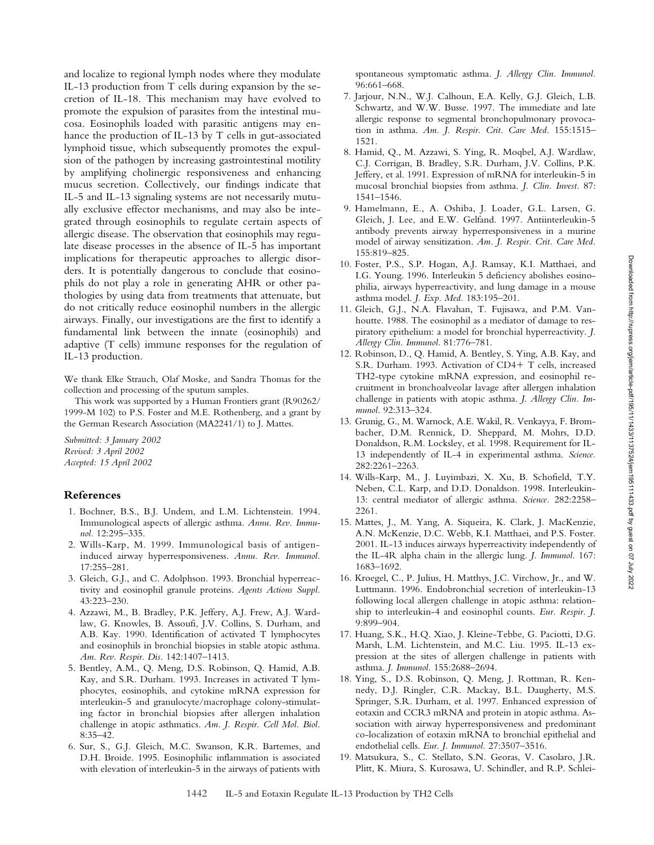and localize to regional lymph nodes where they modulate IL-13 production from T cells during expansion by the secretion of IL-18. This mechanism may have evolved to promote the expulsion of parasites from the intestinal mucosa. Eosinophils loaded with parasitic antigens may enhance the production of IL-13 by T cells in gut-associated lymphoid tissue, which subsequently promotes the expulsion of the pathogen by increasing gastrointestinal motility by amplifying cholinergic responsiveness and enhancing mucus secretion. Collectively, our findings indicate that IL-5 and IL-13 signaling systems are not necessarily mutually exclusive effector mechanisms, and may also be integrated through eosinophils to regulate certain aspects of allergic disease. The observation that eosinophils may regulate disease processes in the absence of IL-5 has important implications for therapeutic approaches to allergic disorders. It is potentially dangerous to conclude that eosinophils do not play a role in generating AHR or other pathologies by using data from treatments that attenuate, but do not critically reduce eosinophil numbers in the allergic airways. Finally, our investigations are the first to identify a fundamental link between the innate (eosinophils) and adaptive (T cells) immune responses for the regulation of IL-13 production.

We thank Elke Strauch, Olaf Moske, and Sandra Thomas for the collection and processing of the sputum samples.

This work was supported by a Human Frontiers grant (R90262/ 1999-M 102) to P.S. Foster and M.E. Rothenberg, and a grant by the German Research Association (MA2241/1) to J. Mattes.

*Submitted: 3 January 2002 Revised: 3 April 2002 Accepted: 15 April 2002*

#### **References**

- 1. Bochner, B.S., B.J. Undem, and L.M. Lichtenstein. 1994. Immunological aspects of allergic asthma. *Annu. Rev. Immunol.* 12:295–335.
- 2. Wills-Karp, M. 1999. Immunological basis of antigeninduced airway hyperresponsiveness. *Annu. Rev. Immunol.* 17:255–281.
- 3. Gleich, G.J., and C. Adolphson. 1993. Bronchial hyperreactivity and eosinophil granule proteins. *Agents Actions Suppl.* 43:223–230.
- 4. Azzawi, M., B. Bradley, P.K. Jeffery, A.J. Frew, A.J. Wardlaw, G. Knowles, B. Assoufi, J.V. Collins, S. Durham, and A.B. Kay. 1990. Identification of activated T lymphocytes and eosinophils in bronchial biopsies in stable atopic asthma. *Am. Rev. Respir. Dis.* 142:1407–1413.
- 5. Bentley, A.M., Q. Meng, D.S. Robinson, Q. Hamid, A.B. Kay, and S.R. Durham. 1993. Increases in activated T lymphocytes, eosinophils, and cytokine mRNA expression for interleukin-5 and granulocyte/macrophage colony-stimulating factor in bronchial biopsies after allergen inhalation challenge in atopic asthmatics. *Am. J. Respir. Cell Mol. Biol.* 8:35–42.
- 6. Sur, S., G.J. Gleich, M.C. Swanson, K.R. Bartemes, and D.H. Broide. 1995. Eosinophilic inflammation is associated with elevation of interleukin-5 in the airways of patients with

spontaneous symptomatic asthma. *J. Allergy Clin. Immunol.* 96:661–668.

- 7. Jarjour, N.N., W.J. Calhoun, E.A. Kelly, G.J. Gleich, L.B. Schwartz, and W.W. Busse. 1997. The immediate and late allergic response to segmental bronchopulmonary provocation in asthma. *Am. J. Respir. Crit. Care Med.* 155:1515– 1521.
- 8. Hamid, Q., M. Azzawi, S. Ying, R. Moqbel, A.J. Wardlaw, C.J. Corrigan, B. Bradley, S.R. Durham, J.V. Collins, P.K. Jeffery, et al. 1991. Expression of mRNA for interleukin-5 in mucosal bronchial biopsies from asthma. *J. Clin. Invest.* 87: 1541–1546.
- 9. Hamelmann, E., A. Oshiba, J. Loader, G.L. Larsen, G. Gleich, J. Lee, and E.W. Gelfand. 1997. Antiinterleukin-5 antibody prevents airway hyperresponsiveness in a murine model of airway sensitization. *Am. J. Respir. Crit. Care Med.* 155:819–825.
- 10. Foster, P.S., S.P. Hogan, A.J. Ramsay, K.I. Matthaei, and I.G. Young. 1996. Interleukin 5 deficiency abolishes eosinophilia, airways hyperreactivity, and lung damage in a mouse asthma model. *J. Exp. Med.* 183:195–201.
- 11. Gleich, G.J., N.A. Flavahan, T. Fujisawa, and P.M. Vanhoutte. 1988. The eosinophil as a mediator of damage to respiratory epithelium: a model for bronchial hyperreactivity. *J. Allergy Clin. Immunol.* 81:776–781.
- 12. Robinson, D., Q. Hamid, A. Bentley, S. Ying, A.B. Kay, and S.R. Durham. 1993. Activation of CD4+ T cells, increased TH2-type cytokine mRNA expression, and eosinophil recruitment in bronchoalveolar lavage after allergen inhalation challenge in patients with atopic asthma. *J. Allergy Clin. Immunol.* 92:313–324.
- 13. Grunig, G., M. Warnock, A.E. Wakil, R. Venkayya, F. Brombacher, D.M. Rennick, D. Sheppard, M. Mohrs, D.D. Donaldson, R.M. Locksley, et al. 1998. Requirement for IL-13 independently of IL-4 in experimental asthma. *Science.* 282:2261–2263.
- 14. Wills-Karp, M., J. Luyimbazi, X. Xu, B. Schofield, T.Y. Neben, C.L. Karp, and D.D. Donaldson. 1998. Interleukin-13: central mediator of allergic asthma. *Science.* 282:2258– 2261.
- 15. Mattes, J., M. Yang, A. Siqueira, K. Clark, J. MacKenzie, A.N. McKenzie, D.C. Webb, K.I. Matthaei, and P.S. Foster. 2001. IL-13 induces airways hyperreactivity independently of the IL-4R alpha chain in the allergic lung. *J. Immunol.* 167: 1683–1692.
- 16. Kroegel, C., P. Julius, H. Matthys, J.C. Virchow, Jr., and W. Luttmann. 1996. Endobronchial secretion of interleukin-13 following local allergen challenge in atopic asthma: relationship to interleukin-4 and eosinophil counts. *Eur. Respir. J.* 9:899–904.
- 17. Huang, S.K., H.Q. Xiao, J. Kleine-Tebbe, G. Paciotti, D.G. Marsh, L.M. Lichtenstein, and M.C. Liu. 1995. IL-13 expression at the sites of allergen challenge in patients with asthma. *J. Immunol.* 155:2688–2694.
- 18. Ying, S., D.S. Robinson, Q. Meng, J. Rottman, R. Kennedy, D.J. Ringler, C.R. Mackay, B.L. Daugherty, M.S. Springer, S.R. Durham, et al. 1997. Enhanced expression of eotaxin and CCR3 mRNA and protein in atopic asthma. Association with airway hyperresponsiveness and predominant co-localization of eotaxin mRNA to bronchial epithelial and endothelial cells. *Eur. J. Immunol.* 27:3507–3516.
- 19. Matsukura, S., C. Stellato, S.N. Georas, V. Casolaro, J.R. Plitt, K. Miura, S. Kurosawa, U. Schindler, and R.P. Schlei-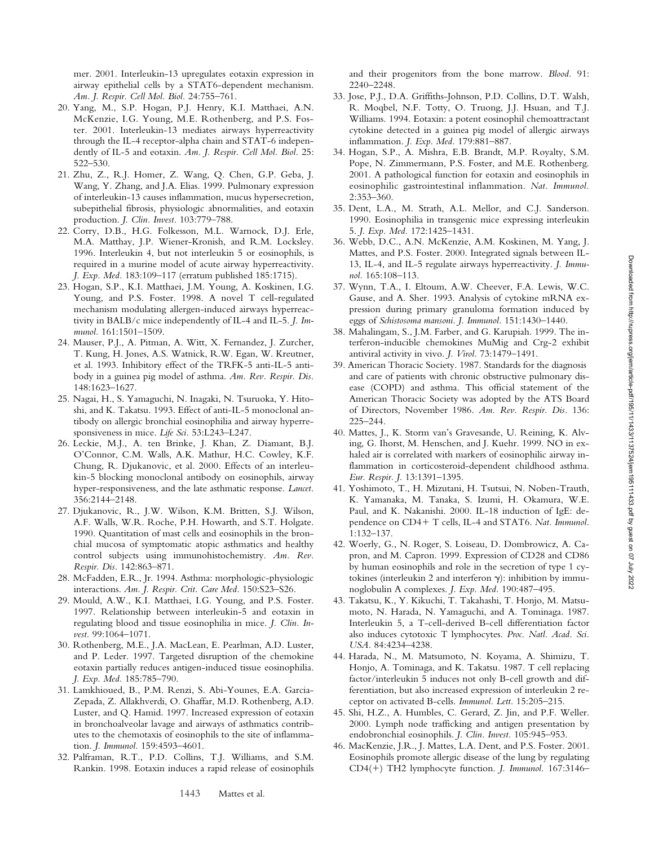mer. 2001. Interleukin-13 upregulates eotaxin expression in airway epithelial cells by a STAT6-dependent mechanism. *Am. J. Respir. Cell Mol. Biol.* 24:755–761.

- 20. Yang, M., S.P. Hogan, P.J. Henry, K.I. Matthaei, A.N. McKenzie, I.G. Young, M.E. Rothenberg, and P.S. Foster. 2001. Interleukin-13 mediates airways hyperreactivity through the IL-4 receptor-alpha chain and STAT-6 independently of IL-5 and eotaxin. *Am. J. Respir. Cell Mol. Biol.* 25: 522–530.
- 21. Zhu, Z., R.J. Homer, Z. Wang, Q. Chen, G.P. Geba, J. Wang, Y. Zhang, and J.A. Elias. 1999. Pulmonary expression of interleukin-13 causes inflammation, mucus hypersecretion, subepithelial fibrosis, physiologic abnormalities, and eotaxin production. *J. Clin. Invest.* 103:779–788.
- 22. Corry, D.B., H.G. Folkesson, M.L. Warnock, D.J. Erle, M.A. Matthay, J.P. Wiener-Kronish, and R.M. Locksley. 1996. Interleukin 4, but not interleukin 5 or eosinophils, is required in a murine model of acute airway hyperreactivity. *J. Exp. Med.* 183:109–117 (erratum published 185:1715).
- 23. Hogan, S.P., K.I. Matthaei, J.M. Young, A. Koskinen, I.G. Young, and P.S. Foster. 1998. A novel T cell-regulated mechanism modulating allergen-induced airways hyperreactivity in BALB/c mice independently of IL-4 and IL-5. *J. Immunol.* 161:1501–1509.
- 24. Mauser, P.J., A. Pitman, A. Witt, X. Fernandez, J. Zurcher, T. Kung, H. Jones, A.S. Watnick, R.W. Egan, W. Kreutner, et al. 1993. Inhibitory effect of the TRFK-5 anti-IL-5 antibody in a guinea pig model of asthma. *Am. Rev. Respir. Dis.* 148:1623–1627.
- 25. Nagai, H., S. Yamaguchi, N. Inagaki, N. Tsuruoka, Y. Hitoshi, and K. Takatsu. 1993. Effect of anti-IL-5 monoclonal antibody on allergic bronchial eosinophilia and airway hyperresponsiveness in mice. *Life Sci.* 53:L243–L247.
- 26. Leckie, M.J., A. ten Brinke, J. Khan, Z. Diamant, B.J. O'Connor, C.M. Walls, A.K. Mathur, H.C. Cowley, K.F. Chung, R. Djukanovic, et al. 2000. Effects of an interleukin-5 blocking monoclonal antibody on eosinophils, airway hyper-responsiveness, and the late asthmatic response. *Lancet.* 356:2144–2148.
- 27. Djukanovic, R., J.W. Wilson, K.M. Britten, S.J. Wilson, A.F. Walls, W.R. Roche, P.H. Howarth, and S.T. Holgate. 1990. Quantitation of mast cells and eosinophils in the bronchial mucosa of symptomatic atopic asthmatics and healthy control subjects using immunohistochemistry. *Am. Rev. Respir. Dis.* 142:863–871.
- 28. McFadden, E.R., Jr. 1994. Asthma: morphologic-physiologic interactions. *Am. J. Respir. Crit. Care Med.* 150:S23–S26.
- 29. Mould, A.W., K.I. Matthaei, I.G. Young, and P.S. Foster. 1997. Relationship between interleukin-5 and eotaxin in regulating blood and tissue eosinophilia in mice. *J. Clin. Invest.* 99:1064–1071.
- 30. Rothenberg, M.E., J.A. MacLean, E. Pearlman, A.D. Luster, and P. Leder. 1997. Targeted disruption of the chemokine eotaxin partially reduces antigen-induced tissue eosinophilia. *J. Exp. Med.* 185:785–790.
- 31. Lamkhioued, B., P.M. Renzi, S. Abi-Younes, E.A. Garcia-Zepada, Z. Allakhverdi, O. Ghaffar, M.D. Rothenberg, A.D. Luster, and Q. Hamid. 1997. Increased expression of eotaxin in bronchoalveolar lavage and airways of asthmatics contributes to the chemotaxis of eosinophils to the site of inflammation. *J. Immunol.* 159:4593–4601.
- 32. Palframan, R.T., P.D. Collins, T.J. Williams, and S.M. Rankin. 1998. Eotaxin induces a rapid release of eosinophils

and their progenitors from the bone marrow. *Blood.* 91: 2240–2248.

- 33. Jose, P.J., D.A. Griffiths-Johnson, P.D. Collins, D.T. Walsh, R. Moqbel, N.F. Totty, O. Truong, J.J. Hsuan, and T.J. Williams. 1994. Eotaxin: a potent eosinophil chemoattractant cytokine detected in a guinea pig model of allergic airways inflammation. *J. Exp. Med.* 179:881–887.
- 34. Hogan, S.P., A. Mishra, E.B. Brandt, M.P. Royalty, S.M. Pope, N. Zimmermann, P.S. Foster, and M.E. Rothenberg. 2001. A pathological function for eotaxin and eosinophils in eosinophilic gastrointestinal inflammation. *Nat. Immunol.* 2:353–360.
- 35. Dent, L.A., M. Strath, A.L. Mellor, and C.J. Sanderson. 1990. Eosinophilia in transgenic mice expressing interleukin 5. *J. Exp. Med.* 172:1425–1431.
- 36. Webb, D.C., A.N. McKenzie, A.M. Koskinen, M. Yang, J. Mattes, and P.S. Foster. 2000. Integrated signals between IL-13, IL-4, and IL-5 regulate airways hyperreactivity. *J. Immunol.* 165:108–113.
- 37. Wynn, T.A., I. Eltoum, A.W. Cheever, F.A. Lewis, W.C. Gause, and A. Sher. 1993. Analysis of cytokine mRNA expression during primary granuloma formation induced by eggs of *Schistosoma mansoni*. *J. Immunol.* 151:1430–1440.
- 38. Mahalingam, S., J.M. Farber, and G. Karupiah. 1999. The interferon-inducible chemokines MuMig and Crg-2 exhibit antiviral activity in vivo. *J. Virol.* 73:1479–1491.
- 39. American Thoracic Society. 1987. Standards for the diagnosis and care of patients with chronic obstructive pulmonary disease (COPD) and asthma. This official statement of the American Thoracic Society was adopted by the ATS Board of Directors, November 1986. *Am. Rev. Respir. Dis.* 136: 225–244.
- 40. Mattes, J., K. Storm van's Gravesande, U. Reining, K. Alving, G. Ihorst, M. Henschen, and J. Kuehr. 1999. NO in exhaled air is correlated with markers of eosinophilic airway inflammation in corticosteroid-dependent childhood asthma. *Eur. Respir. J.* 13:1391–1395.
- 41. Yoshimoto, T., H. Mizutani, H. Tsutsui, N. Noben-Trauth, K. Yamanaka, M. Tanaka, S. Izumi, H. Okamura, W.E. Paul, and K. Nakanishi. 2000. IL-18 induction of IgE: dependence on CD4+ T cells, IL-4 and STAT6. Nat. Immunol. 1:132–137.
- 42. Woerly, G., N. Roger, S. Loiseau, D. Dombrowicz, A. Capron, and M. Capron. 1999. Expression of CD28 and CD86 by human eosinophils and role in the secretion of type 1 cytokines (interleukin 2 and interferon  $\gamma$ ): inhibition by immunoglobulin A complexes. *J. Exp. Med.* 190:487–495.
- 43. Takatsu, K., Y. Kikuchi, T. Takahashi, T. Honjo, M. Matsumoto, N. Harada, N. Yamaguchi, and A. Tominaga. 1987. Interleukin 5, a T-cell-derived B-cell differentiation factor also induces cytotoxic T lymphocytes. *Proc. Natl. Acad. Sci. USA.* 84:4234–4238.
- 44. Harada, N., M. Matsumoto, N. Koyama, A. Shimizu, T. Honjo, A. Tominaga, and K. Takatsu. 1987. T cell replacing factor/interleukin 5 induces not only B-cell growth and differentiation, but also increased expression of interleukin 2 receptor on activated B-cells. *Immunol. Lett.* 15:205–215.
- 45. Shi, H.Z., A. Humbles, C. Gerard, Z. Jin, and P.F. Weller. 2000. Lymph node trafficking and antigen presentation by endobronchial eosinophils. *J. Clin. Invest.* 105:945–953.
- 46. MacKenzie, J.R., J. Mattes, L.A. Dent, and P.S. Foster. 2001. Eosinophils promote allergic disease of the lung by regulating CD4(+) TH2 lymphocyte function. *J. Immunol.* 167:3146-